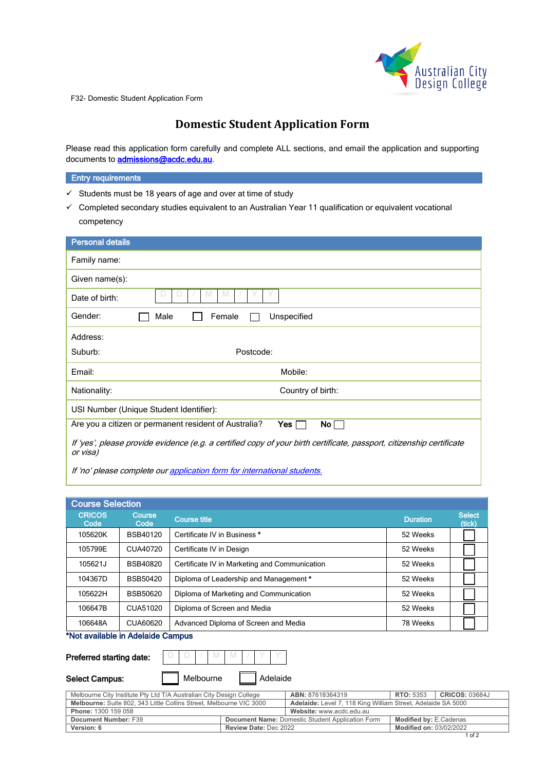

F32- Domestic Student Application Form

# **Domestic Student Application Form**

Please read this application form carefully and complete ALL sections, and email the application and supporting documents to **admissions@acdc.edu.au**.

### **Entry requirements**

- $\checkmark$  Students must be 18 years of age and over at time of study
- $\checkmark$  Completed secondary studies equivalent to an Australian Year 11 qualification or equivalent vocational competency

| <b>Personal details</b>                                                                                                           |  |  |  |  |  |  |
|-----------------------------------------------------------------------------------------------------------------------------------|--|--|--|--|--|--|
| Family name:                                                                                                                      |  |  |  |  |  |  |
| Given name(s):                                                                                                                    |  |  |  |  |  |  |
| M<br>Date of birth:                                                                                                               |  |  |  |  |  |  |
| Unspecified<br>Gender:<br>Male<br>Female                                                                                          |  |  |  |  |  |  |
| Address:                                                                                                                          |  |  |  |  |  |  |
| Postcode:<br>Suburb:                                                                                                              |  |  |  |  |  |  |
| Mobile:<br>Email:                                                                                                                 |  |  |  |  |  |  |
| Country of birth:<br>Nationality:                                                                                                 |  |  |  |  |  |  |
| USI Number (Unique Student Identifier):                                                                                           |  |  |  |  |  |  |
| Are you a citizen or permanent resident of Australia?<br>No $\Box$<br>Yes [                                                       |  |  |  |  |  |  |
| If 'yes', please provide evidence (e.g. a certified copy of your birth certificate, passport, citizenship certificate<br>or visa) |  |  |  |  |  |  |

If 'no' please complete our application form for international students.

| <b>Course Selection</b> |                 |                                               |                 |                         |
|-------------------------|-----------------|-----------------------------------------------|-----------------|-------------------------|
| <b>CRICOS</b><br>Code   | Course<br>Code  | <b>Course title</b>                           | <b>Duration</b> | <b>Select</b><br>(tick) |
| 105620K                 | <b>BSB40120</b> | Certificate IV in Business *                  | 52 Weeks        |                         |
| 105799E                 | CUA40720        | Certificate IV in Design                      | 52 Weeks        |                         |
| 105621J                 | <b>BSB40820</b> | Certificate IV in Marketing and Communication | 52 Weeks        |                         |
| 104367D                 | BSB50420        | Diploma of Leadership and Management *        | 52 Weeks        |                         |
| 105622H                 | <b>BSB50620</b> | Diploma of Marketing and Communication        | 52 Weeks        |                         |
| 106647B                 | CUA51020        | Diploma of Screen and Media                   | 52 Weeks        |                         |
| 106648A                 | CUA60620        | Advanced Diploma of Screen and Media          | 78 Weeks        |                         |

# \*Not available in Adelaide Campus

# Preferred starting date:

| Preferred starting date: |  | $1/N$ M $1/1$ . |  |          |  |
|--------------------------|--|-----------------|--|----------|--|
| <b>Select Campus:</b>    |  | Melbourne       |  | Adelaide |  |

| Melbourne City Institute Pty Ltd T/A Australian City Design College        | <b>ABN: 87618364319</b>                                             | <b>RTO: 5353</b>                                        | <b>CRICOS: 03684J</b>          |  |  |
|----------------------------------------------------------------------------|---------------------------------------------------------------------|---------------------------------------------------------|--------------------------------|--|--|
| <b>Melbourne:</b> Suite 802, 343 Little Collins Street, Melbourne VIC 3000 | <b>Adelaide:</b> Level 7, 118 King William Street, Adelaide SA 5000 |                                                         |                                |  |  |
| Phone: 1300 159 058                                                        | Website: www.acdc.edu.au                                            |                                                         |                                |  |  |
| Document Number: F39                                                       |                                                                     | <b>Document Name: Domestic Student Application Form</b> | <b>Modified by: E.Cadenas</b>  |  |  |
| Version: 6                                                                 | <b>Review Date: Dec 2022</b>                                        |                                                         | <b>Modified on: 03/02/2022</b> |  |  |